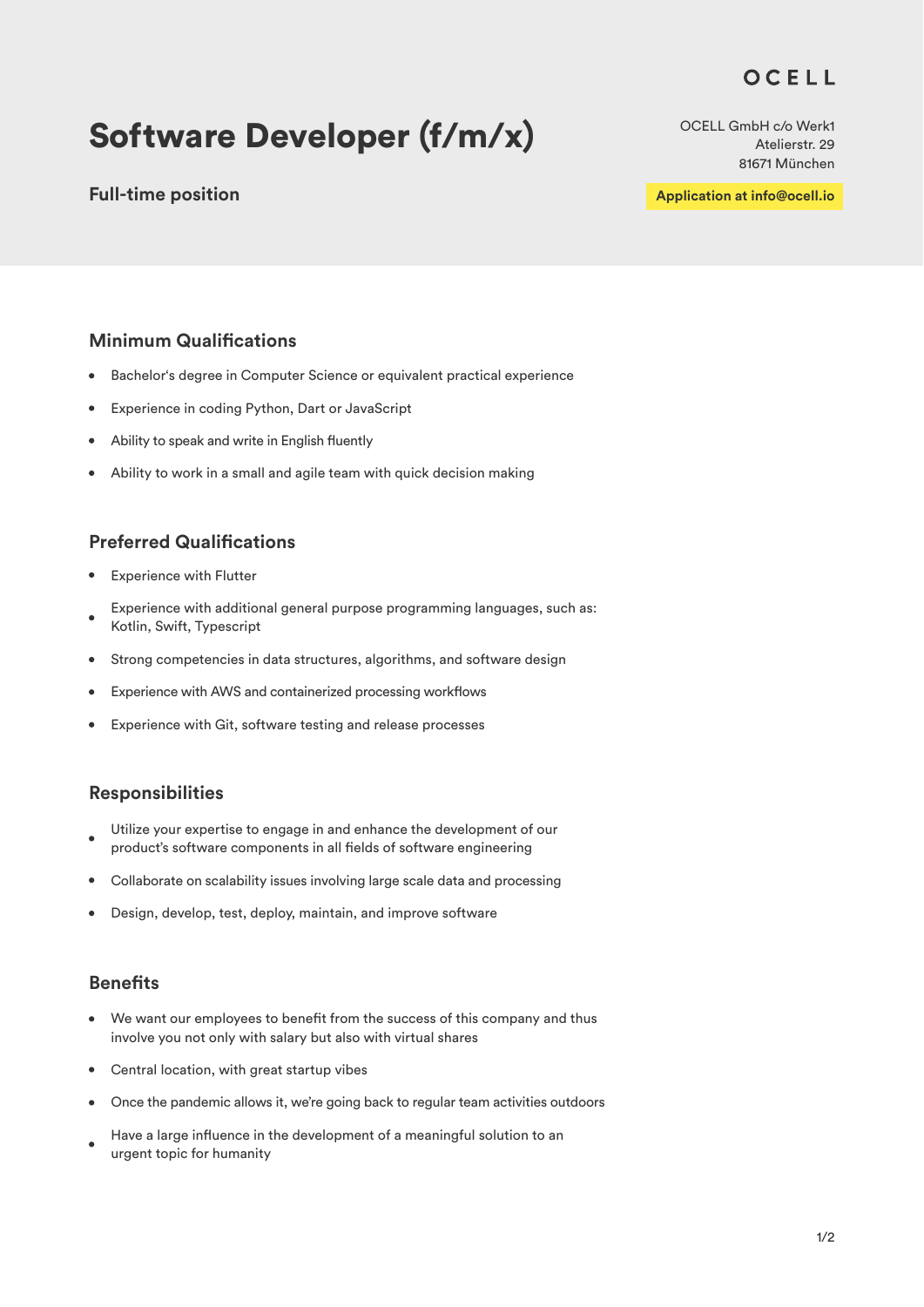# OCELL

# Software Developer (f/m/x)

## **Full-time position**

OCELL GmbH c/o Werk1 Atelierstr. 29 81671 München

**Application at info@ocell.io**

# **Minimum Qualifications**

- Bachelor's degree in Computer Science or equivalent practical experience  $\bullet$
- Experience in coding Python, Dart or JavaScript  $\bullet$
- Ability to speak and write in English fluently
- Ability to work in a small and agile team with quick decision making  $\bullet$

## **Preferred Qualifications**

- Experience with Flutter
- Experience with additional general purpose programming languages, such as: Kotlin, Swift, Typescript
- Strong competencies in data structures, algorithms, and software design  $\bullet$
- $\bullet$ Experience with AWS and containerized processing workflows
- Experience with Git, software testing and release processes

#### **Responsibilities**

- Utilize your expertise to engage in and enhance the development of our  $\bullet$ product's software components in all fields of software engineering
- Collaborate on scalability issues involving large scale data and processing  $\bullet$
- $\bullet$ Design, develop, test, deploy, maintain, and improve software

#### **Benefits**

- We want our employees to benefit from the success of this company and thus  $\bullet$ involve you not only with salary but also with virtual shares
- Central location, with great startup vibes  $\bullet$
- Once the pandemic allows it, we're going back to regular team activities outdoors
- Have a large influence in the development of a meaningful solution to an  $\bullet$ urgent topic for humanity